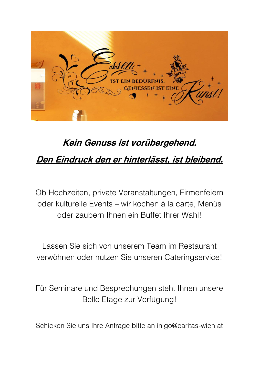

# **Kein Genuss ist vorübergehend.**

# **Den Eindruck den er hinterlässt, ist bleibend.**

Ob Hochzeiten, private Veranstaltungen, Firmenfeiern oder kulturelle Events – wir kochen à la carte, Menüs oder zaubern Ihnen ein Buffet Ihrer Wahl!

Lassen Sie sich von unserem Team im Restaurant verwöhnen oder nutzen Sie unseren Cateringservice!

Für Seminare und Besprechungen steht Ihnen unsere Belle Etage zur Verfügung!

Schicken Sie uns Ihre Anfrage bitte an inigo@caritas-wien.at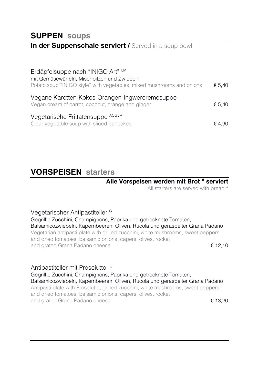### **SUPPEN soups**

#### **In der Suppenschale serviert / Served in a soup bowl**

| Erdäpfelsuppe nach "INIGO Art" LM<br>mit Gemüsewürfeln, Mischpilzen und Zwiebeln<br>Potato soup "INIGO style" with vegetables, mixed mushrooms and onions | € 5.40 |
|-----------------------------------------------------------------------------------------------------------------------------------------------------------|--------|
| Vegane Karotten-Kokos-Orangen-Ingwercremesuppe<br>Vegan cream of carrot, coconut, orange and ginger                                                       | € 5,40 |
| Vegetarische Frittatensuppe ACGLM<br>Clear vegetable soup with sliced pancakes                                                                            | € 4.90 |

### **VORSPEISEN starters**

#### **Alle Vorspeisen werden mit Brot <sup>A</sup> serviert**

All starters are served with bread A

#### Vegetarischer Antipastiteller <sup>G</sup>

Gegrillte Zucchini, Champignons, Paprika und getrocknete Tomaten, Balsamicozwiebeln, Kapernbeeren, Oliven, Rucola und geraspelter Grana Padano Vegetarian antipasti plate with grilled zucchini, white mushrooms, sweet peppers and dried tomatoes, balsamic onions, capers, olives, rocket and grated Grana Padano cheese  $\epsilon$  12,10

#### Antipastiteller mit Prosciutto <sup>G</sup>

Gegrillte Zucchini, Champignons, Paprika und getrocknete Tomaten, Balsamicozwiebeln, Kapernbeeren, Oliven, Rucola und geraspelter Grana Padano Antipasti plate with Prosciutto, grilled zucchini, white mushrooms, sweet peppers and dried tomatoes, balsamic onions, capers, olives, rocket and grated Grana Padano cheese  $\epsilon$  13,20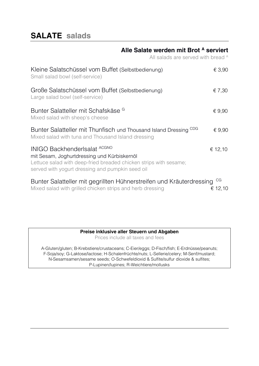## **SALATE salads**

#### **Alle Salate werden mit Brot <sup>A</sup> serviert**

All salads are served with bread A

| Kleine Salatschüssel vom Buffet (Selbstbedienung)<br>Small salad bowl (self-service)                                                                                                                        | € 3,90        |
|-------------------------------------------------------------------------------------------------------------------------------------------------------------------------------------------------------------|---------------|
| Große Salatschüssel vom Buffet (Selbstbedienung)<br>Large salad bowl (self-service)                                                                                                                         | € 7,30        |
| Bunter Salatteller mit Schafskäse <sup>G</sup><br>Mixed salad with sheep's cheese                                                                                                                           | € $9,90$      |
| CDG<br>Bunter Salatteller mit Thunfisch und Thousand Island Dressing<br>Mixed salad with tuna and Thousand Island dressing                                                                                  | € $9,90$      |
| <b>INIGO BackhenderIsalat ACGNO</b><br>mit Sesam, Joghurtdressing und Kürbiskernöl<br>Lettuce salad with deep-fried breaded chicken strips with sesame;<br>served with yogurt dressing and pumpkin seed oil | € 12,10       |
| Bunter Salatteller mit gegrillten Hühnerstreifen und Kräuterdressing<br>Mixed salad with grilled chicken strips and herb dressing                                                                           | CG<br>€ 12,10 |

#### **Preise inklusive aller Steuern und Abgaben**

Prices include all taxes and fees

A-Gluten/gluten; B-Krebstiere/crustaceans; C-Eier/eggs; D-Fisch/fish; E-Erdnüsse/peanuts; F-Soja/soy; G-Laktose/lactose; H-Schalenfrüchte/nuts; L-Sellerie/celery; M-Senf/mustard; N-Sesamsamen/sesame seeds; O-Schwefeldioxid & Sulfite/sulfur dioxide & sulfites; P-Lupinen/lupines; R-Weichtiere/mollusks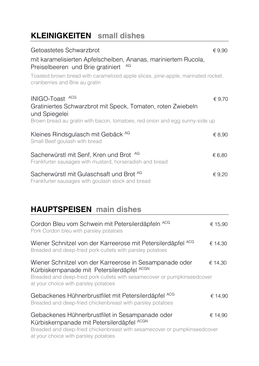## **KLEINIGKEITEN small dishes**

| Getoastetes Schwarzbrot                                                                                                                                                        | € 9,90 |
|--------------------------------------------------------------------------------------------------------------------------------------------------------------------------------|--------|
| mit karamelisierten Apfelscheiben, Ananas, mariniertem Rucola,<br>AG<br>Preiselbeeren und Brie gratiniert                                                                      |        |
| Toasted brown bread with caramelized apple slices, pine-apple, marinated rocket,<br>cranberries and Brie au gratin                                                             |        |
| INIGO-Toast ACG<br>Gratiniertes Schwarzbrot mit Speck, Tomaten, roten Zwiebeln<br>und Spiegelei<br>Brown bread au gratin with bacon, tomatoes, red onion and egg sunny-side up | € 9,70 |
| Kleines Rindsgulasch mit Gebäck AG<br>Small Beef goulash with bread                                                                                                            | € 8,90 |
| Sacherwürstl mit Senf, Kren und Brot AG<br>Frankfurter sausages with mustard, horseradish and bread                                                                            | € 6,80 |
| Sacherwürstl mit Gulaschsaft und Brot AG<br>Frankfurter sausages with goulash stock and bread                                                                                  | € 9,20 |

## **HAUPTSPEISEN main dishes**

| Cordon Bleu vom Schwein mit Petersilerdäpfeln ACG<br>Pork Cordon bleu with parsley potatoes                                                                                                                               | € 15,90 |
|---------------------------------------------------------------------------------------------------------------------------------------------------------------------------------------------------------------------------|---------|
| Wiener Schnitzel von der Karreerose mit Petersilerdäpfel ACG<br>Breaded and deep-fried pork cutlets with parsley potatoes                                                                                                 | € 14,30 |
| Wiener Schnitzel von der Karreerose in Sesampanade oder<br>Kürbiskernpanade mit Petersilerdäpfel ACGN<br>Breaded and deep-fried pork cutlets with sesamecover or pumpkinseedcover<br>at your choice with parsley potatoes | € 14,30 |
| Gebackenes Hühnerbrustfilet mit Petersilerdäpfel ACG<br>Breaded and deep-fried chickenbreast with parsley potatoes                                                                                                        | € 14,90 |
| Gebackenes Hühnerbrustfilet in Sesampanade oder<br>Kürbiskernpanade mit Petersilerdäpfel ACGN<br>Breaded and deep-fried chickenbreast with sesamecover or pumpkinseedcover<br>at your choice with parsley potatoes        | € 14,90 |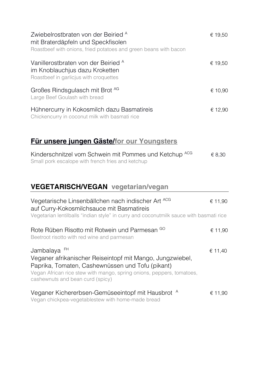| Zwiebelrostbraten von der Beiried A<br>mit Braterdäpfeln und Speckfisolen<br>Roastbeef with onions, fried potatoes and green beans with bacon                                                                                              | € 19,50 |
|--------------------------------------------------------------------------------------------------------------------------------------------------------------------------------------------------------------------------------------------|---------|
| Vanillerostbraten von der Beiried A<br>im Knoblauchjus dazu Kroketten<br>Roastbeef in garlicjus with croquettes                                                                                                                            | € 19,50 |
| Großes Rindsgulasch mit Brot AG<br>Large Beef Goulash with bread                                                                                                                                                                           | € 10,90 |
| Hühnercurry in Kokosmilch dazu Basmatireis<br>Chickencurry in coconut milk with basmati rice                                                                                                                                               | € 12,90 |
| <b>Für unsere jungen Gäste/for our Youngsters</b>                                                                                                                                                                                          |         |
| Kinderschnitzel vom Schwein mit Pommes und Ketchup ACG<br>Small pork escalope with french fries and ketchup                                                                                                                                | € 8,30  |
| <b>VEGETARISCH/VEGAN</b> vegetarian/vegan                                                                                                                                                                                                  |         |
| Vegetarische Linsenbällchen nach indischer Art <sup>ACG</sup><br>auf Curry-Kokosmilchsauce mit Basmatireis<br>Vegetarian lentilballs "indian style" in curry and coconutmilk sauce with basmati rice                                       | € 11,90 |
| Rote Rüben Risotto mit Rotwein und Parmesan GO<br>Beetroot risotto with red wine and parmesan                                                                                                                                              | € 11,90 |
| Jambalaya FH<br>Veganer afrikanischer Reiseintopf mit Mango, Jungzwiebel,<br>Paprika, Tomaten, Cashewnüssen und Tofu (pikant)<br>Vegan African rice stew with mango, spring onions, peppers, tomatoes,<br>cashewnuts and bean curd (spicy) | € 11,40 |
| Veganer Kichererbsen-Gemüseeintopf mit Hausbrot A<br>Vegan chickpea-vegetablestew with home-made bread                                                                                                                                     | € 11,90 |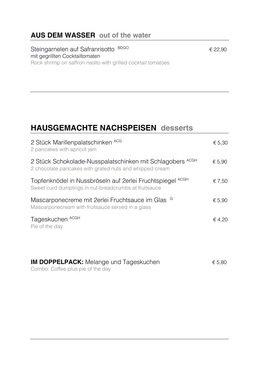### **AUS DEM WASSER out of the water**

Steingarnelen auf Safranrisotto BDGO mit gegrillten Cocktailtomaten Rock shrimp on saffron risotto with grilled cocktail tomatoes

## **HAUSGEMACHTE NACHSPEISEN desserts**

| 2 Stück Marillenpalatschinken ACG<br>2 pancakes with apricot jam                                                             | € 5,30 |
|------------------------------------------------------------------------------------------------------------------------------|--------|
| 2 Stück Schokolade-Nusspalatschinken mit Schlagobers ACGH<br>2 chocolate pancakes with grated nuts and whipped cream         | € 5.90 |
| <b>ACGH</b><br>Topfenknödel in Nussbröseln auf 2erlei Fruchtspiegel<br>Sweet curd dumplings in nut-breadcrumbs at fruitsauce | € 7,50 |
| Mascarponecreme mit 2erlei Fruchtsauce im Glas <sup>G</sup><br>Mascarponecream with fruitsauce served in a glass             | € 5,90 |
| Tageskuchen ACGH<br>Pie of the day                                                                                           | € 4,20 |

| <b>IM DOPPELPACK:</b> Melange und Tageskuchen | € 5,80 |
|-----------------------------------------------|--------|
| Combo: Coffee plus pie of the day             |        |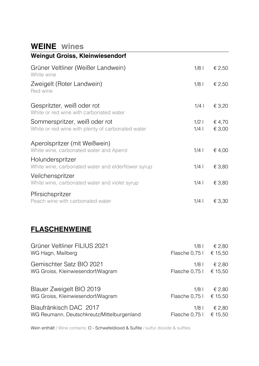### **WEINE wines**

| <b>Weingut Groiss, Kleinwiesendorf</b>                                             |                  |                  |
|------------------------------------------------------------------------------------|------------------|------------------|
| Grüner Veltliner (Weißer Landwein)<br>White wine                                   | $1/8$            | € 2,50           |
| Zweigelt (Roter Landwein)<br>Red wine                                              | $1/8$            | € 2,50           |
| Gespritzter, weiß oder rot<br>White or red wine with carbonated water              | $1/4$            | € 3,20           |
| Sommerspritzer, weiß oder rot<br>White or red wine with plenty of carbonated water | $1/2$  <br>$1/4$ | € 4,70<br>€ 3,00 |
| Aperolspritzer (mit Weißwein)<br>White wine, carbonated water and Aperol           | $1/4$            | € 4,00           |
| Holunderspritzer<br>White wine, carbonated water and elderflower syrup             | $1/4$            | € 3,80           |
| Veilchenspritzer<br>White wine, carbonated water and violet syrup                  | $1/4$            | € 3,80           |
| Pfirsichspritzer<br>Peach wine with carbonated water                               | $1/4$            | $\epsilon$ 3,30  |

### **FLASCHENWEINE**

| Grüner Veltliner FILIUS 2021               | $1/8$          | € 2,80  |
|--------------------------------------------|----------------|---------|
| WG Hagn, Mailberg                          | Flasche 0,75 l | € 15,50 |
| Gemischter Satz BIO 2021                   | $1/8$          | € 2,80  |
| WG Groiss, Kleinwiesendorf/Wagram          | Flasche 0,75 l | € 15,50 |
| Blauer Zweigelt BIO 2019                   | $1/8$ l        | € 2,80  |
| WG Groiss, Kleinwiesendorf/Wagram          | Flasche 0,75 l | € 15,50 |
| Blaufränkisch DAC 2017                     | $1/8$          | € 2,80  |
| WG Reumann, Deutschkreutz/Mittelburgenland | Flasche 0,75 l | € 15,50 |

Wein enthält / Wine contains: O - Schwefeldioxid & Sulfite / sulfur dioxide & sulfites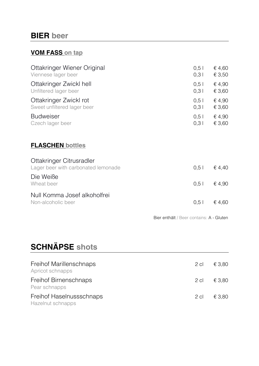### **BIER beer**

#### **VOM FASS on tap**

| Ottakringer Wiener Original<br>Viennese lager beer              | $0,5$  <br>0,31 | € 4,60<br>€ 3,50 |
|-----------------------------------------------------------------|-----------------|------------------|
| Ottakringer Zwickl hell<br>Unfiltered lager beer                | $0,5$  <br>0,31 | € 4,90<br>€ 3,60 |
| Ottakringer Zwickl rot<br>Sweet unfiltered lager beer           | $0,5$  <br>0,31 | € 4,90<br>€ 3,60 |
| <b>Budweiser</b><br>Czech lager beer                            | $0,5$  <br>0,31 | € 4,90<br>€ 3,60 |
| <b>FLASCHEN bottles</b>                                         |                 |                  |
| Ottakringer Citrusradler<br>Lager beer with carbonated lemonade | 0.51            | € 4,40           |
| Die Weiße<br>Wheat beer                                         | $0,5$           | € 4,90           |
| Null Komma Josef alkoholfrei<br>Non-alcoholic beer              | $0,5$           | $\epsilon$ 4,60  |
|                                                                 |                 |                  |

Bier enthält / Beer contains: A - Gluten

# **SCHNÄPSE shots**

| Freihof Marillenschnaps<br>Apricot schnapps   | 2 cl   | € 3.80 |
|-----------------------------------------------|--------|--------|
| Freihof Birnenschnaps<br>Pear schnapps        | 2 cl   | € 3.80 |
| Freihof Haselnussschnaps<br>Hazelnut schnapps | $2$ cl | € 3.80 |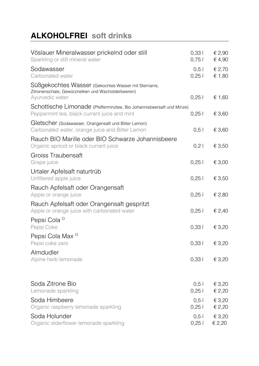# **ALKOHOLFREI soft drinks**

| Vöslauer Mineralwasser prickelnd oder still<br>Sparkling or still mineral water                                              | 0,331<br>0,751    | € 2,90<br>€ 4,90 |
|------------------------------------------------------------------------------------------------------------------------------|-------------------|------------------|
| Sodawasser<br>Carbonated water                                                                                               | $0,5$  <br>$0,25$ | € 2,70<br>€ 1,80 |
| Süßgekochtes Wasser (Gekochtes Wasser mit Sternanis,<br>Zitronenschale, Gewürznelken und Wacholderbeeren)<br>Ayurvedic water | $0,25$            | € 1,60           |
| Schottische Limonade (Pfefferminztee, Bio Johannisbeersaft und Minze)<br>Peppermint tea, black currant juice and mint        | 0,251             | € 3,60           |
| Gletscher (Sodawasser, Orangensaft und Bitter Lemon)<br>Carbonated water, orange juice and Bitter Lemon                      | $0,5$             | € 3,60           |
| Rauch BIO Marille oder BIO Schwarze Johannisbeere<br>Organic apricot or black currant juice                                  | $0,2$             | € 3,50           |
| Groiss Traubensaft<br>Grape juice                                                                                            | 0,251             | € 3,00           |
| Urtaler Apfelsaft naturtrüb<br>Unfiltered apple juice                                                                        | 0,251             | € 3,50           |
| Rauch Apfelsaft oder Orangensaft<br>Apple or orange juice                                                                    | 0,251             | € 2,80           |
| Rauch Apfelsaft oder Orangensaft gespritzt<br>Apple or orange juice with carbonated water                                    | 0,25              | € 2,40           |
| Pepsi Cola <sup>o</sup><br>Pepsi Coke                                                                                        | 0,331             | € 3,20           |
| Pepsi Cola Max <sup>o</sup><br>Pepsi coke zero                                                                               | 0,331             | € 3,20           |
| Almdudler<br>Alpine herb lemonade                                                                                            | 0,331             | € 3,20           |
| Soda Zitrone Bio<br>Lemonade sparkling                                                                                       | 0,5<br>0,251      | € 3,20<br>€ 2,20 |
| Soda Himbeere<br>Organic raspberry lemonade sparkling                                                                        | 0,51<br>0,251     | € 3,20<br>€ 2,20 |
| Soda Holunder<br>Organic elderflower lemonade sparkling                                                                      | $0,5$  <br>0,251  | € 3,20<br>€ 2,20 |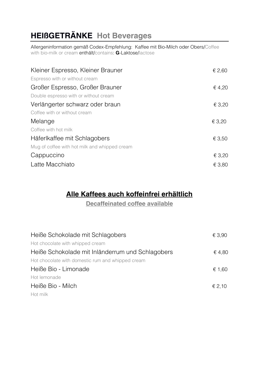# **HEIßGETRÄNKE Hot Beverages**

Allergeninformation gemäß Codex-Empfehlung: Kaffee mit Bio-Milch oder Obers/Coffee with bio-milk or cream enthält/contains: **G**-Laktose/lactose

| Kleiner Espresso, Kleiner Brauner             | € 2,60 |
|-----------------------------------------------|--------|
| Espresso with or without cream                |        |
| Großer Espresso, Großer Brauner               | € 4,20 |
| Double espresso with or without cream         |        |
| Verlängerter schwarz oder braun               | € 3,20 |
| Coffee with or without cream                  |        |
| Melange                                       | € 3,20 |
| Coffee with hot milk                          |        |
| Häferlkaffee mit Schlagobers                  | € 3,50 |
| Mug of coffee with hot milk and whipped cream |        |
| Cappuccino                                    | € 3,20 |
| Latte Macchiato                               | € 3,80 |

### **Alle Kaffees auch koffeinfrei erhältlich**

**Decaffeinated coffee available**

| Heiße Schokolade mit Schlagobers                  | € 3,90 |
|---------------------------------------------------|--------|
| Hot chocolate with whipped cream                  |        |
| Heiße Schokolade mit Inländerrum und Schlagobers  | € 4,80 |
| Hot chocolate with domestic rum and whipped cream |        |
| Heiße Bio - Limonade                              | € 1,60 |
| Hot lemonade                                      |        |
| Heiße Bio - Milch                                 | € 2,10 |
| Hot milk                                          |        |